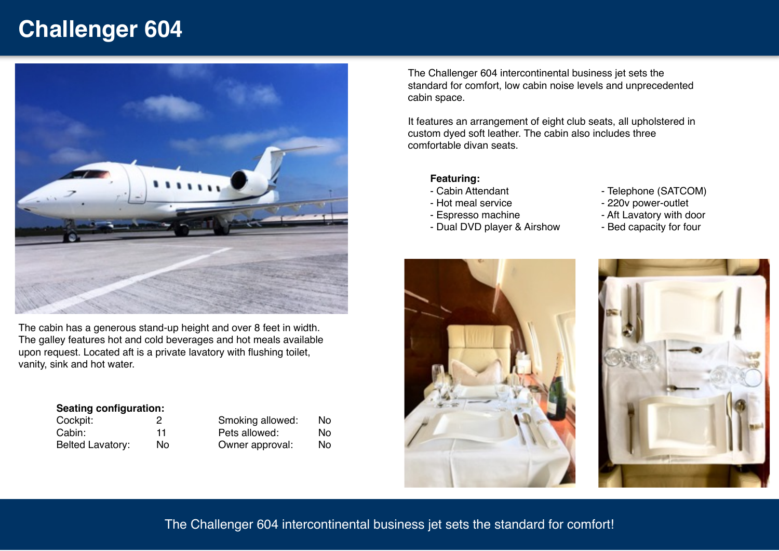# **Challenger 604**



The cabin has a generous stand-up height and over 8 feet in width. The galley features hot and cold beverages and hot meals available upon request. Located aft is a private lavatory with flushing toilet, vanity, sink and hot water.

#### **Seating configuration:**

| Cockpit:         | 2  |
|------------------|----|
| Cabin:           | 11 |
| Belted Lavatory: | No |

| Smoking allowed: | N٥ |
|------------------|----|
| Pets allowed:    | N٥ |
| Owner approval:  | N٥ |

The Challenger 604 intercontinental business jet sets the standard for comfort, low cabin noise levels and unprecedented cabin space.

It features an arrangement of eight club seats, all upholstered in custom dyed soft leather. The cabin also includes three comfortable divan seats.

### **Featuring:**

- Cabin Attendant
- Hot meal service
- Espresso machine
- Dual DVD player & Airshow
- Telephone (SATCOM)
- 220v power-outlet
- Aft Lavatory with door
- Bed capacity for four





## The Challenger 604 intercontinental business jet sets the standard for comfort!